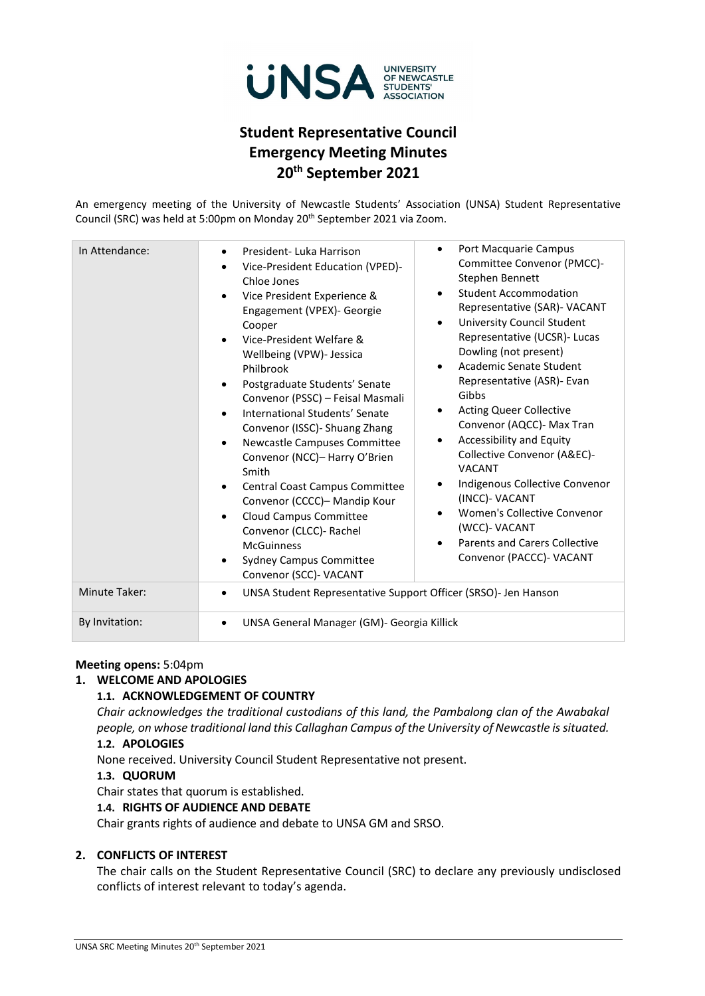

## **Student Representative Council Emergency Meeting Minutes 20th September 2021**

An emergency meeting of the University of Newcastle Students' Association (UNSA) Student Representative Council (SRC) was held at 5:00pm on Monday 20<sup>th</sup> September 2021 via Zoom.

| In Attendance: | Port Macquarie Campus<br>$\bullet$<br>President-Luka Harrison<br>$\bullet$<br>Committee Convenor (PMCC)-<br>Vice-President Education (VPED)-<br>$\bullet$<br>Stephen Bennett<br>Chloe Jones<br><b>Student Accommodation</b><br>$\bullet$<br>Vice President Experience &<br>Representative (SAR)- VACANT<br>Engagement (VPEX)- Georgie<br><b>University Council Student</b><br>$\bullet$<br>Cooper<br>Representative (UCSR)- Lucas<br>Vice-President Welfare &<br>Dowling (not present)<br>Wellbeing (VPW)- Jessica<br>Academic Senate Student<br>$\bullet$<br>Philbrook<br>Representative (ASR)- Evan<br>Postgraduate Students' Senate<br>$\bullet$<br>Gibbs<br>Convenor (PSSC) - Feisal Masmali<br><b>Acting Queer Collective</b><br>$\bullet$<br>International Students' Senate<br>Convenor (AQCC)- Max Tran<br>Convenor (ISSC) - Shuang Zhang<br><b>Accessibility and Equity</b><br>$\bullet$<br>Newcastle Campuses Committee<br>$\bullet$<br>Collective Convenor (A&EC)-<br>Convenor (NCC)- Harry O'Brien<br><b>VACANT</b><br>Smith<br>Indigenous Collective Convenor<br>٠<br>Central Coast Campus Committee<br>$\bullet$<br>(INCC)- VACANT<br>Convenor (CCCC)- Mandip Kour<br>Women's Collective Convenor<br>$\bullet$<br>Cloud Campus Committee<br>$\bullet$<br>(WCC)- VACANT<br>Convenor (CLCC)- Rachel<br><b>Parents and Carers Collective</b><br><b>McGuinness</b><br>Convenor (PACCC)- VACANT<br><b>Sydney Campus Committee</b><br>Convenor (SCC)- VACANT |  |  |
|----------------|---------------------------------------------------------------------------------------------------------------------------------------------------------------------------------------------------------------------------------------------------------------------------------------------------------------------------------------------------------------------------------------------------------------------------------------------------------------------------------------------------------------------------------------------------------------------------------------------------------------------------------------------------------------------------------------------------------------------------------------------------------------------------------------------------------------------------------------------------------------------------------------------------------------------------------------------------------------------------------------------------------------------------------------------------------------------------------------------------------------------------------------------------------------------------------------------------------------------------------------------------------------------------------------------------------------------------------------------------------------------------------------------------------------------------------------------------------------------|--|--|
| Minute Taker:  | UNSA Student Representative Support Officer (SRSO)- Jen Hanson<br>$\bullet$                                                                                                                                                                                                                                                                                                                                                                                                                                                                                                                                                                                                                                                                                                                                                                                                                                                                                                                                                                                                                                                                                                                                                                                                                                                                                                                                                                                         |  |  |
| By Invitation: | UNSA General Manager (GM)- Georgia Killick                                                                                                                                                                                                                                                                                                                                                                                                                                                                                                                                                                                                                                                                                                                                                                                                                                                                                                                                                                                                                                                                                                                                                                                                                                                                                                                                                                                                                          |  |  |

#### **Meeting opens:** 5:04pm

#### **1. WELCOME AND APOLOGIES**

#### **1.1. ACKNOWLEDGEMENT OF COUNTRY**

*Chair acknowledges the traditional custodians of this land, the Pambalong clan of the Awabakal people, on whose traditional land this Callaghan Campus of the University of Newcastle is situated.* **1.2. APOLOGIES**

None received. University Council Student Representative not present.

#### **1.3. QUORUM**

Chair states that quorum is established.

#### **1.4. RIGHTS OF AUDIENCE AND DEBATE**

Chair grants rights of audience and debate to UNSA GM and SRSO.

#### **2. CONFLICTS OF INTEREST**

The chair calls on the Student Representative Council (SRC) to declare any previously undisclosed conflicts of interest relevant to today's agenda.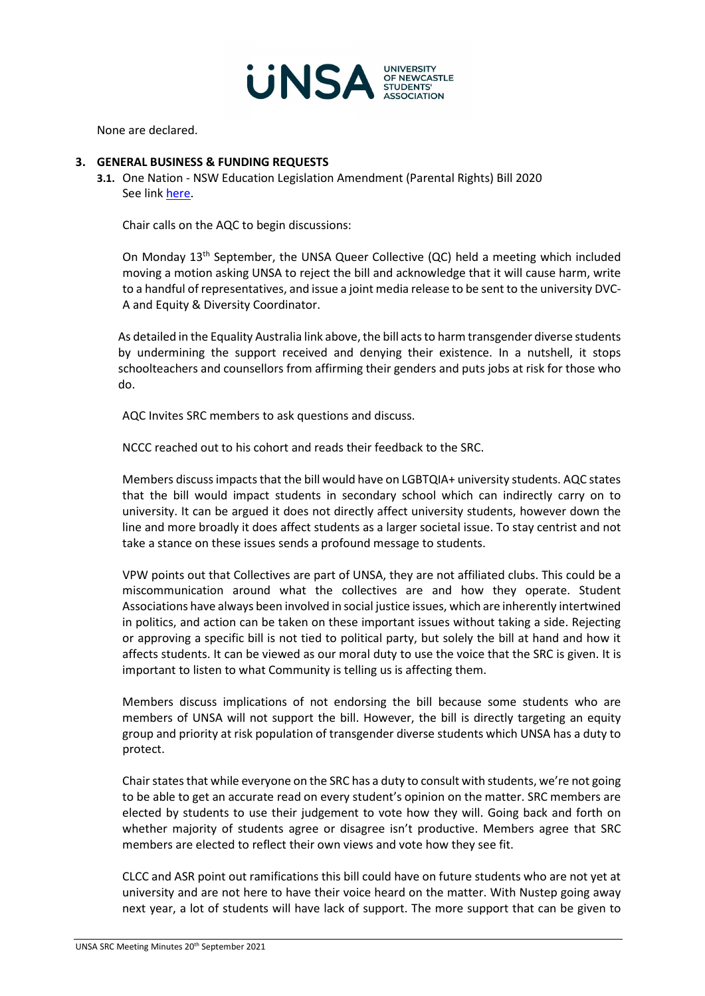

None are declared.

#### **3. GENERAL BUSINESS & FUNDING REQUESTS**

**3.1.** One Nation - NSW Education Legislation Amendment (Parental Rights) Bill 2020 See link [here.](https://equalityaustralia.org.au/ignoranceineducationbill/)

Chair calls on the AQC to begin discussions:

On Monday 13<sup>th</sup> September, the UNSA Queer Collective (QC) held a meeting which included moving a motion asking UNSA to reject the bill and acknowledge that it will cause harm, write to a handful of representatives, and issue a joint media release to be sent to the university DVC-A and Equity & Diversity Coordinator.

As detailed in the Equality Australia link above, the bill acts to harm transgender diverse students by undermining the support received and denying their existence. In a nutshell, it stops schoolteachers and counsellors from affirming their genders and puts jobs at risk for those who do.

AQC Invites SRC members to ask questions and discuss.

NCCC reached out to his cohort and reads their feedback to the SRC.

Members discuss impacts that the bill would have on LGBTQIA+ university students. AQC states that the bill would impact students in secondary school which can indirectly carry on to university. It can be argued it does not directly affect university students, however down the line and more broadly it does affect students as a larger societal issue. To stay centrist and not take a stance on these issues sends a profound message to students.

VPW points out that Collectives are part of UNSA, they are not affiliated clubs. This could be a miscommunication around what the collectives are and how they operate. Student Associations have always been involved in social justice issues, which are inherently intertwined in politics, and action can be taken on these important issues without taking a side. Rejecting or approving a specific bill is not tied to political party, but solely the bill at hand and how it affects students. It can be viewed as our moral duty to use the voice that the SRC is given. It is important to listen to what Community is telling us is affecting them.

Members discuss implications of not endorsing the bill because some students who are members of UNSA will not support the bill. However, the bill is directly targeting an equity group and priority at risk population of transgender diverse students which UNSA has a duty to protect.

Chair states that while everyone on the SRC has a duty to consult with students, we're not going to be able to get an accurate read on every student's opinion on the matter. SRC members are elected by students to use their judgement to vote how they will. Going back and forth on whether majority of students agree or disagree isn't productive. Members agree that SRC members are elected to reflect their own views and vote how they see fit.

CLCC and ASR point out ramifications this bill could have on future students who are not yet at university and are not here to have their voice heard on the matter. With Nustep going away next year, a lot of students will have lack of support. The more support that can be given to